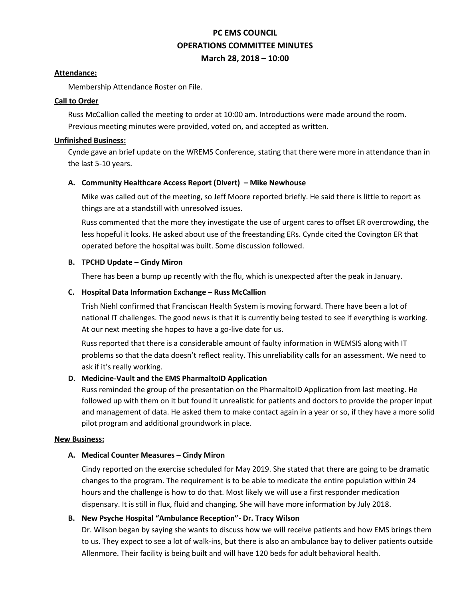# **PC EMS COUNCIL OPERATIONS COMMITTEE MINUTES March 28, 2018 – 10:00**

#### **Attendance:**

Membership Attendance Roster on File.

#### **Call to Order**

Russ McCallion called the meeting to order at 10:00 am. Introductions were made around the room. Previous meeting minutes were provided, voted on, and accepted as written.

#### **Unfinished Business:**

Cynde gave an brief update on the WREMS Conference, stating that there were more in attendance than in the last 5-10 years.

#### **A. Community Healthcare Access Report (Divert) – Mike Newhouse**

Mike was called out of the meeting, so Jeff Moore reported briefly. He said there is little to report as things are at a standstill with unresolved issues.

Russ commented that the more they investigate the use of urgent cares to offset ER overcrowding, the less hopeful it looks. He asked about use of the freestanding ERs. Cynde cited the Covington ER that operated before the hospital was built. Some discussion followed.

#### **B. TPCHD Update – Cindy Miron**

There has been a bump up recently with the flu, which is unexpected after the peak in January.

## **C. Hospital Data Information Exchange – Russ McCallion**

Trish Niehl confirmed that Franciscan Health System is moving forward. There have been a lot of national IT challenges. The good news is that it is currently being tested to see if everything is working. At our next meeting she hopes to have a go-live date for us.

Russ reported that there is a considerable amount of faulty information in WEMSIS along with IT problems so that the data doesn't reflect reality. This unreliability calls for an assessment. We need to ask if it's really working.

#### **D. Medicine-Vault and the EMS PharmaltoID Application**

Russ reminded the group of the presentation on the PharmaltoID Application from last meeting. He followed up with them on it but found it unrealistic for patients and doctors to provide the proper input and management of data. He asked them to make contact again in a year or so, if they have a more solid pilot program and additional groundwork in place.

#### **New Business:**

#### **A. Medical Counter Measures – Cindy Miron**

Cindy reported on the exercise scheduled for May 2019. She stated that there are going to be dramatic changes to the program. The requirement is to be able to medicate the entire population within 24 hours and the challenge is how to do that. Most likely we will use a first responder medication dispensary. It is still in flux, fluid and changing. She will have more information by July 2018.

# **B. New Psyche Hospital "Ambulance Reception"- Dr. Tracy Wilson**

Dr. Wilson began by saying she wants to discuss how we will receive patients and how EMS brings them to us. They expect to see a lot of walk-ins, but there is also an ambulance bay to deliver patients outside Allenmore. Their facility is being built and will have 120 beds for adult behavioral health.